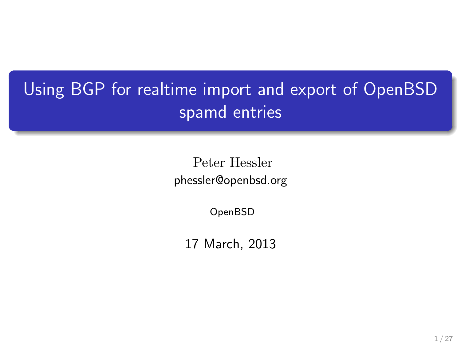## Using BGP for realtime import and export of OpenBSD spamd entries

Peter Hessler phessler@openbsd.org

OpenBSD

17 March, 2013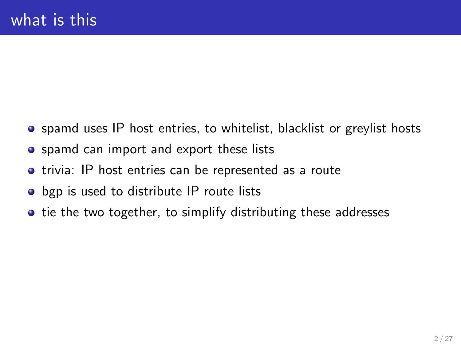- spamd uses IP host entries, to whitelist, blacklist or greylist hosts
- spamd can import and export these lists
- **o** trivia: IP host entries can be represented as a route
- **•** bgp is used to distribute IP route lists
- tie the two together, to simplify distributing these addresses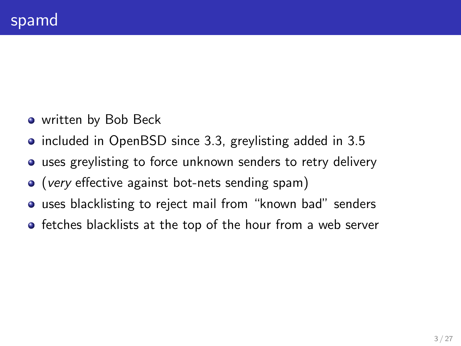- written by Bob Beck
- included in OpenBSD since 3.3, greylisting added in 3.5
- uses greylisting to force unknown senders to retry delivery
- (very effective against bot-nets sending spam)
- **•** uses blacklisting to reject mail from "known bad" senders
- **•** fetches blacklists at the top of the hour from a web server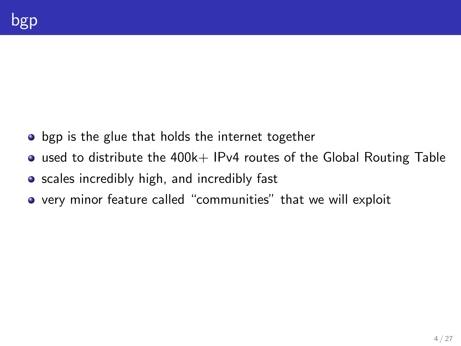- bgp is the glue that holds the internet together
- $\bullet$  used to distribute the 400k+ IPv4 routes of the Global Routing Table
- **•** scales incredibly high, and incredibly fast
- very minor feature called "communities" that we will exploit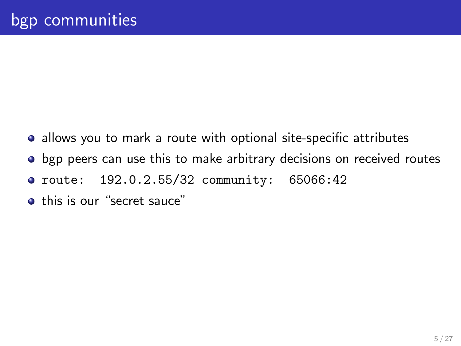- allows you to mark a route with optional site-specific attributes
- **•** bgp peers can use this to make arbitrary decisions on received routes
- route: 192.0.2.55/32 community: 65066:42
- this is our "secret sauce"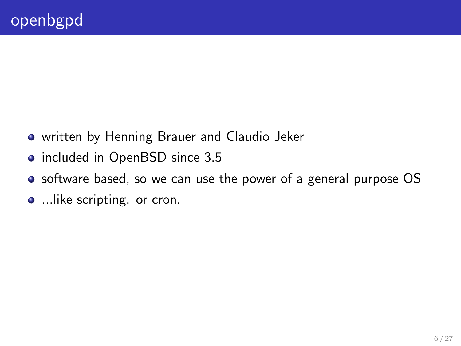- written by Henning Brauer and Claudio Jeker
- included in OpenBSD since 3.5
- software based, so we can use the power of a general purpose OS
- ... like scripting. or cron.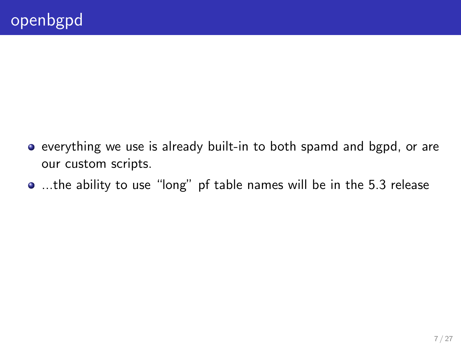- everything we use is already built-in to both spamd and bgpd, or are our custom scripts.
- ...the ability to use "long" pf table names will be in the 5.3 release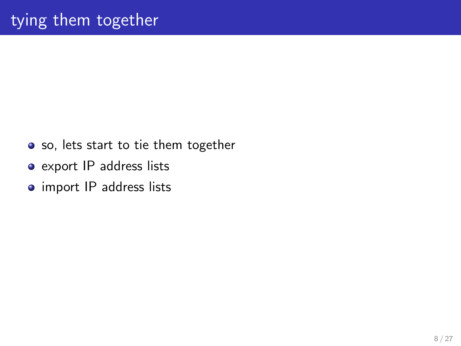- so, lets start to tie them together
- export IP address lists
- o import IP address lists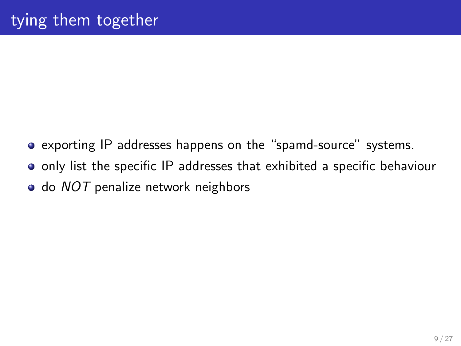- exporting IP addresses happens on the "spamd-source" systems.
- only list the specific IP addresses that exhibited a specific behaviour
- do NOT penalize network neighbors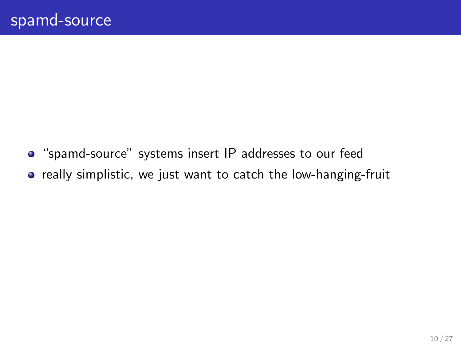- "spamd-source" systems insert IP addresses to our feed
- really simplistic, we just want to catch the low-hanging-fruit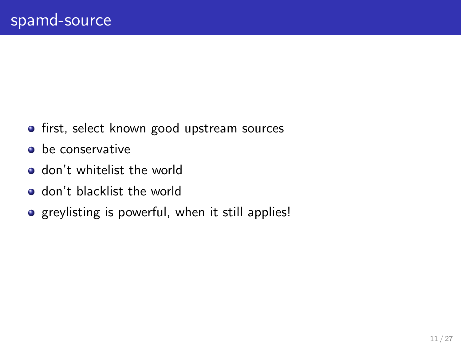- **•** first, select known good upstream sources
- **o** be conservative
- **o** don't whitelist the world
- o don't blacklist the world
- **•** greylisting is powerful, when it still applies!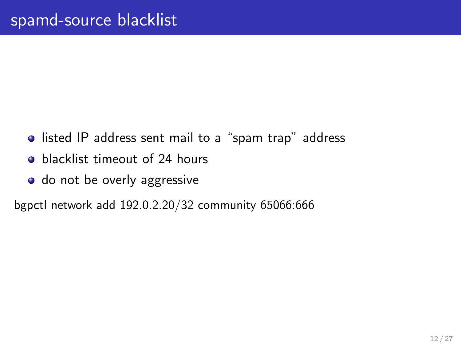- listed IP address sent mail to a "spam trap" address
- **blacklist timeout of 24 hours**
- do not be overly aggressive

bgpctl network add 192.0.2.20/32 community 65066:666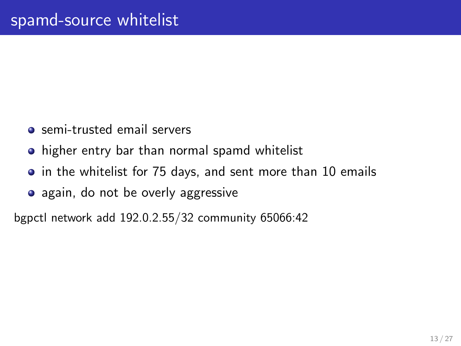- semi-trusted email servers
- higher entry bar than normal spamd whitelist
- **•** in the whitelist for 75 days, and sent more than 10 emails
- again, do not be overly aggressive

bgpctl network add 192.0.2.55/32 community 65066:42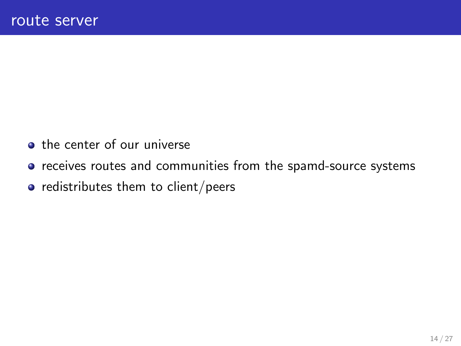- the center of our universe
- receives routes and communities from the spamd-source systems
- $\bullet$  redistributes them to client/peers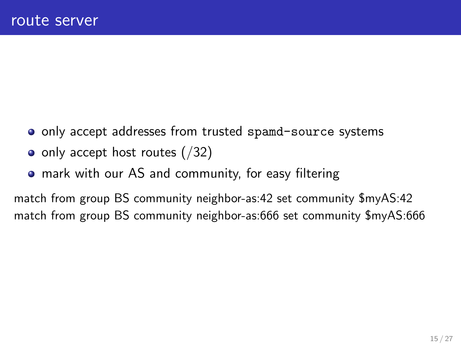- o only accept addresses from trusted spamd-source systems
- $\bullet$  only accept host routes (/32)
- **•** mark with our AS and community, for easy filtering

match from group BS community neighbor-as:42 set community \$myAS:42 match from group BS community neighbor-as:666 set community \$myAS:666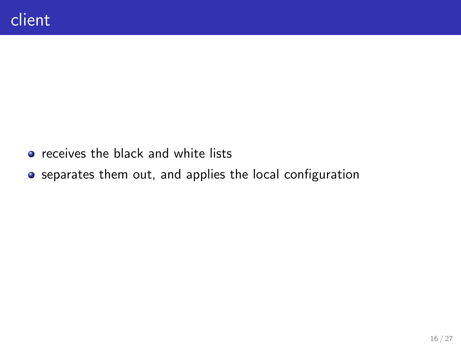- receives the black and white lists
- separates them out, and applies the local configuration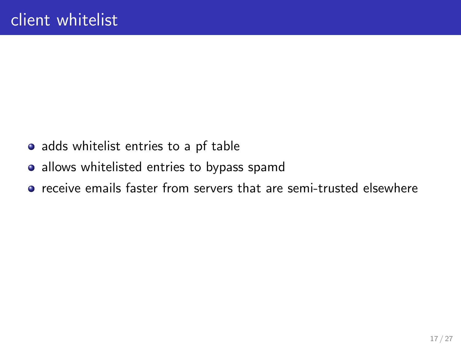- adds whitelist entries to a pf table
- allows whitelisted entries to bypass spamd
- **•** receive emails faster from servers that are semi-trusted elsewhere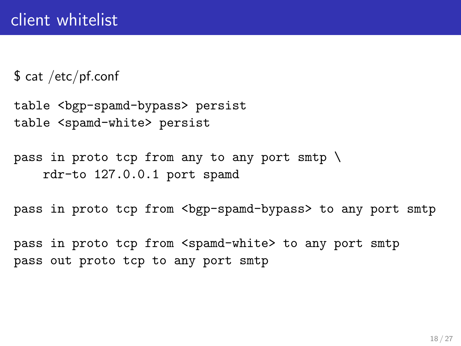\$ cat /etc/pf.conf

table <bgp-spamd-bypass> persist table <spamd-white> persist

pass in proto tcp from any to any port smtp  $\setminus$ rdr-to 127.0.0.1 port spamd

pass in proto tcp from <bgp-spamd-bypass> to any port smtp

pass in proto tcp from <spamd-white> to any port smtp pass out proto tcp to any port smtp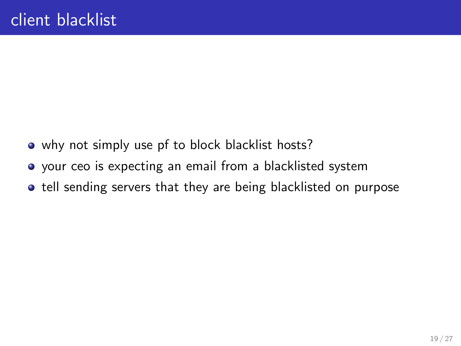- why not simply use pf to block blacklist hosts?
- your ceo is expecting an email from a blacklisted system
- tell sending servers that they are being blacklisted on purpose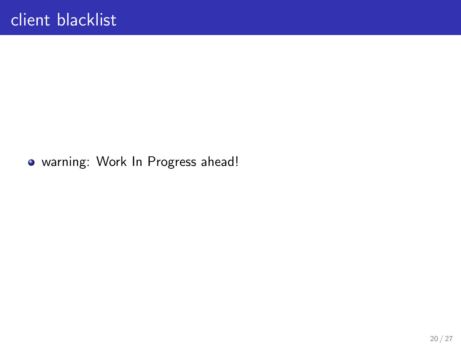## warning: Work In Progress ahead!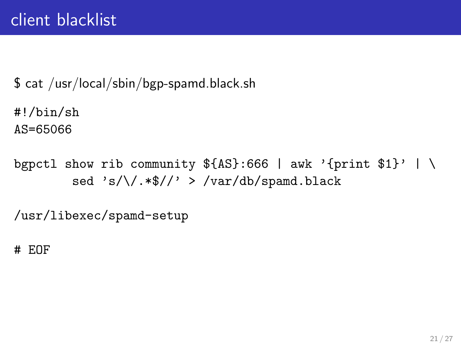\$ cat /usr/local/sbin/bgp-spamd.black.sh

#!/bin/sh AS=65066

bgpctl show rib community  $\{AS\}:\,666$  | awk '{print  $\$1$ }' | \ sed 's/\/.\*\$//' > /var/db/spamd.black

/usr/libexec/spamd-setup

# EOF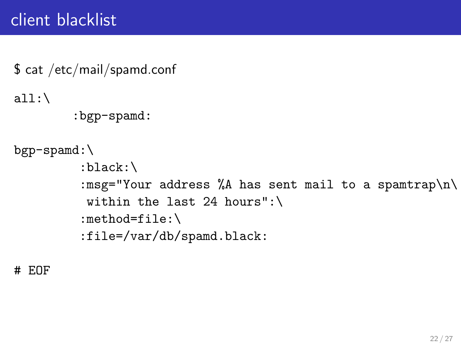```
$ cat /etc/mail/spamd.conf
all:\:bgp-spamd:
bgp-spamd:\
          :black:\
          :msg="Your address %A has sent mail to a spamtrap\n\timeswithin the last 24 hours":\setminus:method=file:\
          :file=/var/db/spamd.black:
```
# EOF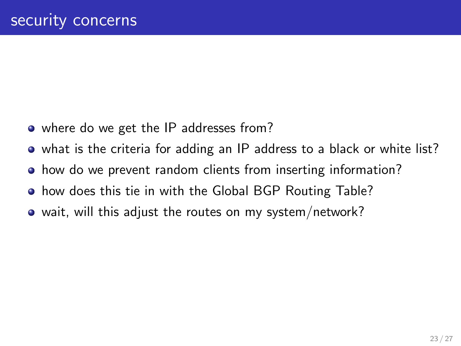- where do we get the IP addresses from?
- what is the criteria for adding an IP address to a black or white list?
- how do we prevent random clients from inserting information?  $\bullet$
- $\bullet$ how does this tie in with the Global BGP Routing Table?
- wait, will this adjust the routes on my system/network?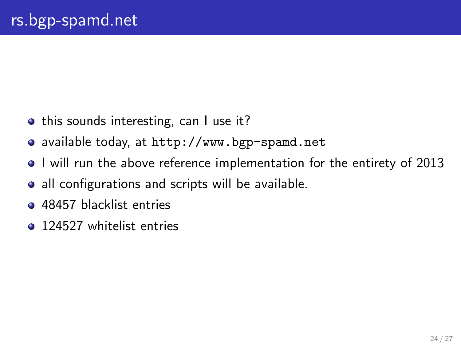- this sounds interesting, can I use it?
- available today, at http://www.bgp-spamd.net
- I will run the above reference implementation for the entirety of 2013
- all configurations and scripts will be available.
- 48457 blacklist entries
- 124527 whitelist entries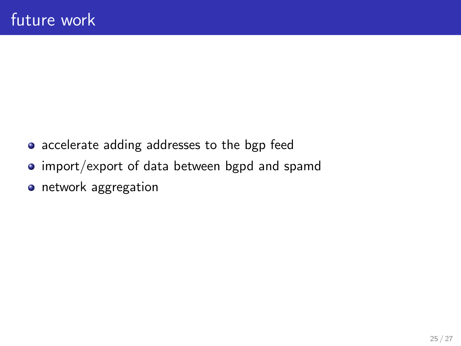- accelerate adding addresses to the bgp feed
- import/export of data between bgpd and spamd
- o network aggregation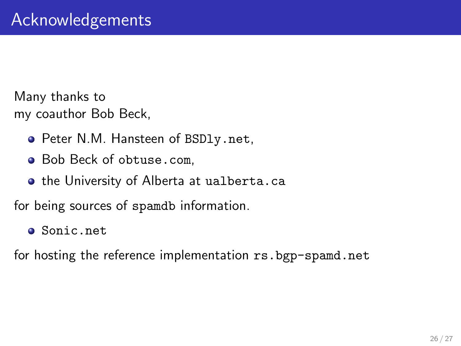Many thanks to my coauthor Bob Beck,

- Peter N.M. Hansteen of BSD1y.net,
- Bob Beck of obtuse.com,
- **the University of Alberta at ualberta.ca**

for being sources of spamdb information.

Sonic.net

for hosting the reference implementation rs.bgp-spamd.net